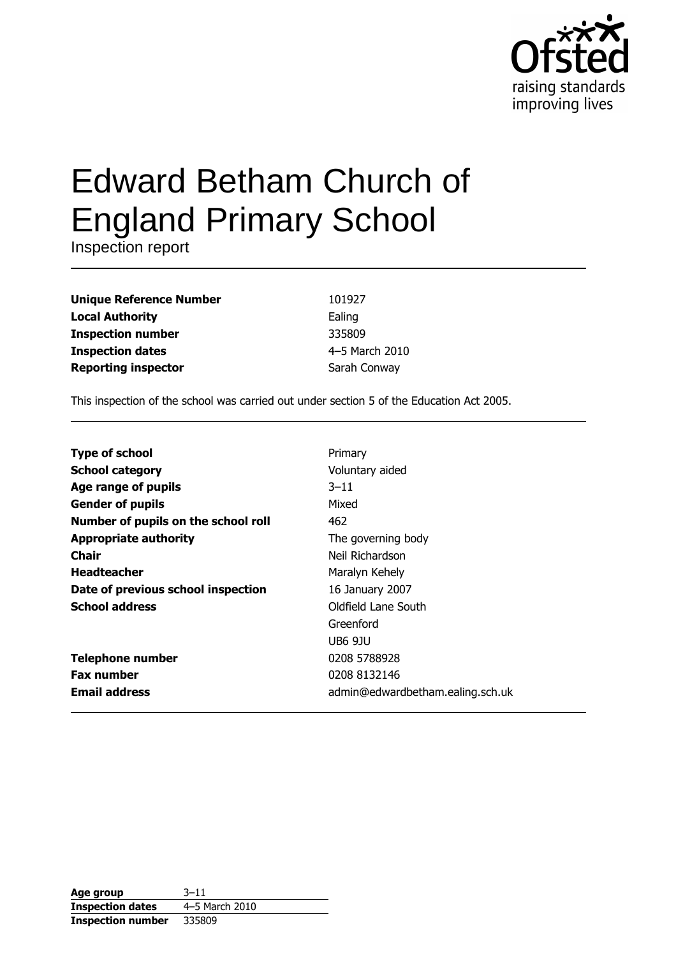

# **Edward Betham Church of England Primary School**

Inspection report

| <b>Unique Reference Number</b> |
|--------------------------------|
| <b>Local Authority</b>         |
| <b>Inspection number</b>       |
| <b>Inspection dates</b>        |
| <b>Reporting inspector</b>     |

101927 Ealing 335809 4-5 March 2010 Sarah Conway

This inspection of the school was carried out under section 5 of the Education Act 2005.

| <b>Type of school</b>               | Primary                          |
|-------------------------------------|----------------------------------|
| <b>School category</b>              | Voluntary aided                  |
| Age range of pupils                 | $3 - 11$                         |
| <b>Gender of pupils</b>             | Mixed                            |
| Number of pupils on the school roll | 462                              |
| <b>Appropriate authority</b>        | The governing body               |
| Chair                               | Neil Richardson                  |
| <b>Headteacher</b>                  | Maralyn Kehely                   |
| Date of previous school inspection  | 16 January 2007                  |
| <b>School address</b>               | Oldfield Lane South              |
|                                     | Greenford                        |
|                                     | <b>UB6 9JU</b>                   |
| <b>Telephone number</b>             | 0208 5788928                     |
| <b>Fax number</b>                   | 0208 8132146                     |
| <b>Email address</b>                | admin@edwardbetham.ealing.sch.uk |

| Age group                | $3 - 11$       |
|--------------------------|----------------|
| <b>Inspection dates</b>  | 4-5 March 2010 |
| <b>Inspection number</b> | 335809         |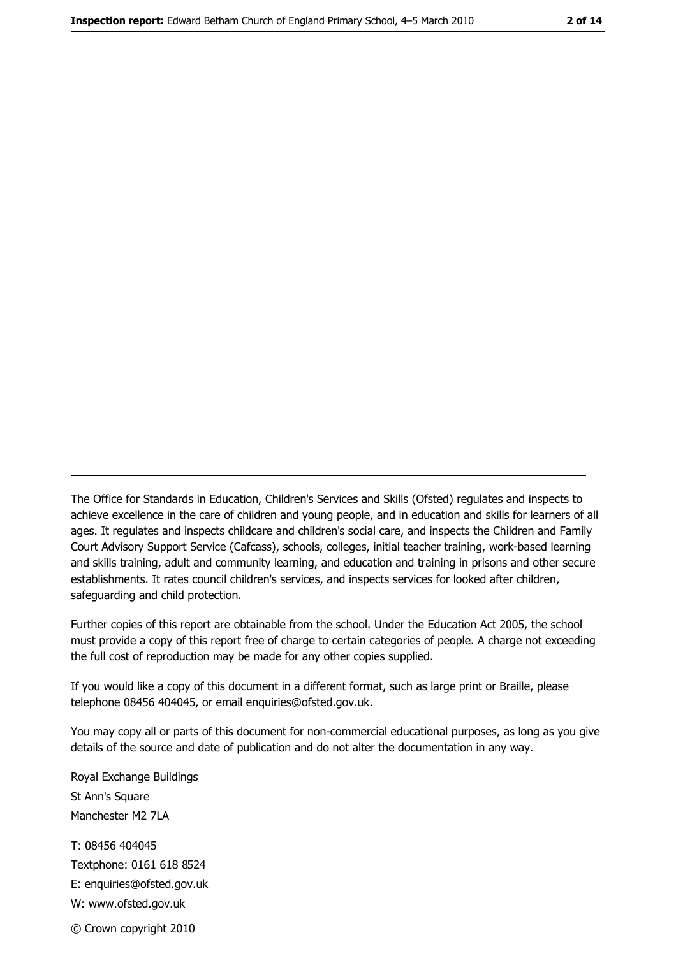The Office for Standards in Education, Children's Services and Skills (Ofsted) regulates and inspects to achieve excellence in the care of children and young people, and in education and skills for learners of all ages. It regulates and inspects childcare and children's social care, and inspects the Children and Family Court Advisory Support Service (Cafcass), schools, colleges, initial teacher training, work-based learning and skills training, adult and community learning, and education and training in prisons and other secure establishments. It rates council children's services, and inspects services for looked after children, safequarding and child protection.

Further copies of this report are obtainable from the school. Under the Education Act 2005, the school must provide a copy of this report free of charge to certain categories of people. A charge not exceeding the full cost of reproduction may be made for any other copies supplied.

If you would like a copy of this document in a different format, such as large print or Braille, please telephone 08456 404045, or email enquiries@ofsted.gov.uk.

You may copy all or parts of this document for non-commercial educational purposes, as long as you give details of the source and date of publication and do not alter the documentation in any way.

Royal Exchange Buildings St Ann's Square Manchester M2 7LA T: 08456 404045 Textphone: 0161 618 8524 E: enquiries@ofsted.gov.uk W: www.ofsted.gov.uk © Crown copyright 2010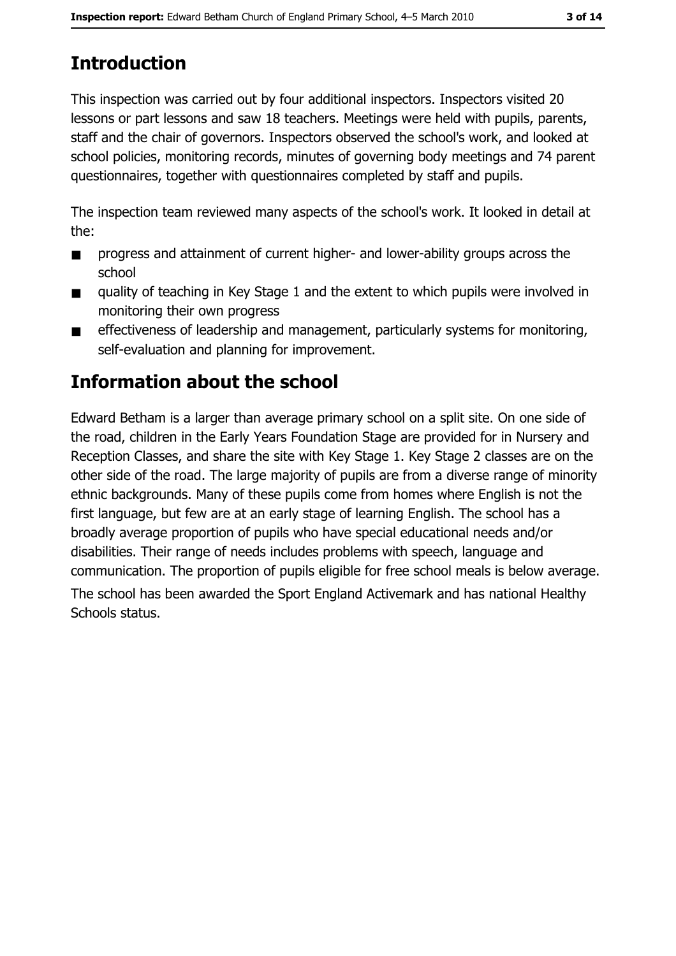# **Introduction**

This inspection was carried out by four additional inspectors. Inspectors visited 20 lessons or part lessons and saw 18 teachers. Meetings were held with pupils, parents, staff and the chair of governors. Inspectors observed the school's work, and looked at school policies, monitoring records, minutes of governing body meetings and 74 parent questionnaires, together with questionnaires completed by staff and pupils.

The inspection team reviewed many aspects of the school's work. It looked in detail at the:

- progress and attainment of current higher- and lower-ability groups across the  $\blacksquare$ school
- quality of teaching in Key Stage 1 and the extent to which pupils were involved in  $\blacksquare$ monitoring their own progress
- effectiveness of leadership and management, particularly systems for monitoring,  $\blacksquare$ self-evaluation and planning for improvement.

# Information about the school

Edward Betham is a larger than average primary school on a split site. On one side of the road, children in the Early Years Foundation Stage are provided for in Nursery and Reception Classes, and share the site with Key Stage 1. Key Stage 2 classes are on the other side of the road. The large majority of pupils are from a diverse range of minority ethnic backgrounds. Many of these pupils come from homes where English is not the first language, but few are at an early stage of learning English. The school has a broadly average proportion of pupils who have special educational needs and/or disabilities. Their range of needs includes problems with speech, language and communication. The proportion of pupils eligible for free school meals is below average. The school has been awarded the Sport England Activemark and has national Healthy Schools status.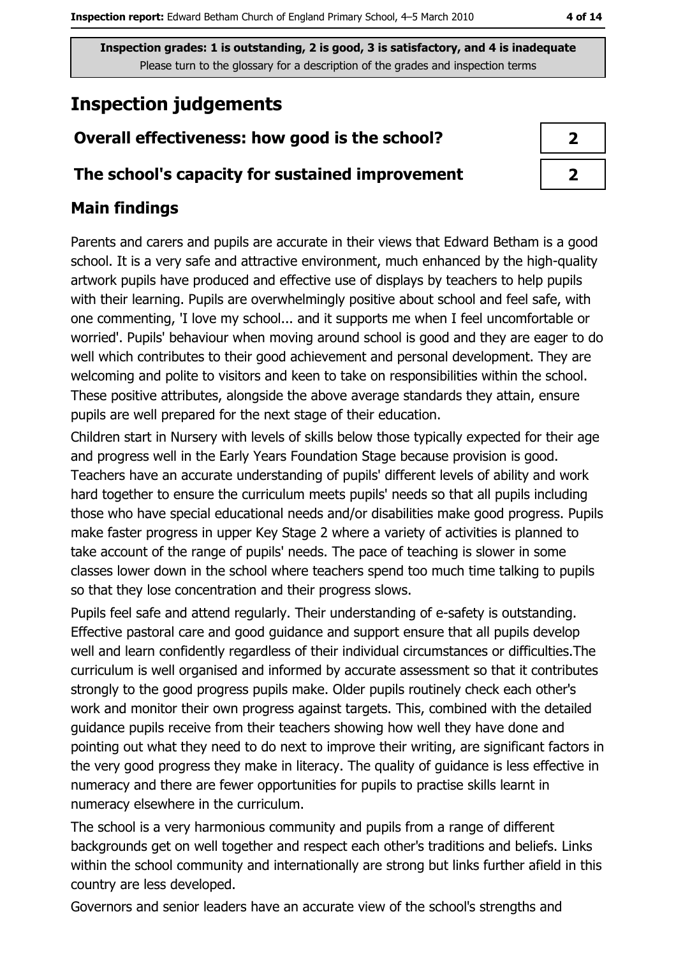4 of 14

Inspection grades: 1 is outstanding, 2 is good, 3 is satisfactory, and 4 is inadequate Please turn to the glossary for a description of the grades and inspection terms

# **Inspection judgements**

# Overall effectiveness: how good is the school?

### The school's capacity for sustained improvement

# **Main findings**

Parents and carers and pupils are accurate in their views that Edward Betham is a good school. It is a very safe and attractive environment, much enhanced by the high-quality artwork pupils have produced and effective use of displays by teachers to help pupils with their learning. Pupils are overwhelmingly positive about school and feel safe, with one commenting. 'I love my school... and it supports me when I feel uncomfortable or worried'. Pupils' behaviour when moving around school is good and they are eager to do well which contributes to their good achievement and personal development. They are welcoming and polite to visitors and keen to take on responsibilities within the school. These positive attributes, alongside the above average standards they attain, ensure pupils are well prepared for the next stage of their education.

Children start in Nursery with levels of skills below those typically expected for their age and progress well in the Early Years Foundation Stage because provision is good. Teachers have an accurate understanding of pupils' different levels of ability and work hard together to ensure the curriculum meets pupils' needs so that all pupils including those who have special educational needs and/or disabilities make good progress. Pupils make faster progress in upper Key Stage 2 where a variety of activities is planned to take account of the range of pupils' needs. The pace of teaching is slower in some classes lower down in the school where teachers spend too much time talking to pupils so that they lose concentration and their progress slows.

Pupils feel safe and attend regularly. Their understanding of e-safety is outstanding. Effective pastoral care and good guidance and support ensure that all pupils develop well and learn confidently regardless of their individual circumstances or difficulties. The curriculum is well organised and informed by accurate assessment so that it contributes strongly to the good progress pupils make. Older pupils routinely check each other's work and monitor their own progress against targets. This, combined with the detailed quidance pupils receive from their teachers showing how well they have done and pointing out what they need to do next to improve their writing, are significant factors in the very good progress they make in literacy. The quality of quidance is less effective in numeracy and there are fewer opportunities for pupils to practise skills learnt in numeracy elsewhere in the curriculum.

The school is a very harmonious community and pupils from a range of different backgrounds get on well together and respect each other's traditions and beliefs. Links within the school community and internationally are strong but links further afield in this country are less developed.

Governors and senior leaders have an accurate view of the school's strengths and

| 2 |  |
|---|--|
| 7 |  |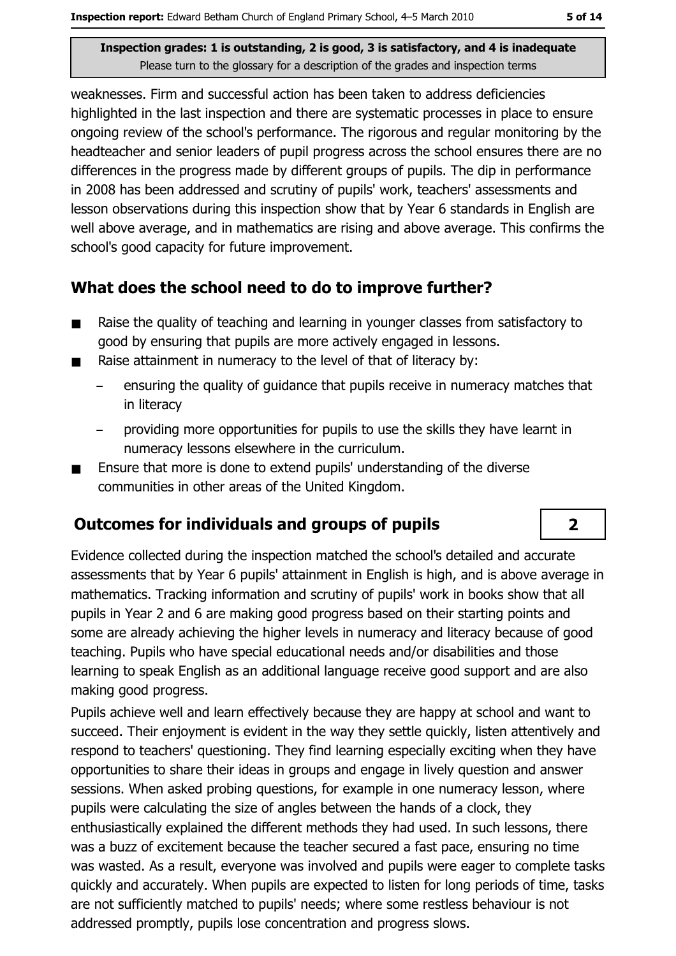weaknesses. Firm and successful action has been taken to address deficiencies highlighted in the last inspection and there are systematic processes in place to ensure ongoing review of the school's performance. The rigorous and regular monitoring by the headteacher and senior leaders of pupil progress across the school ensures there are no differences in the progress made by different groups of pupils. The dip in performance in 2008 has been addressed and scrutiny of pupils' work, teachers' assessments and lesson observations during this inspection show that by Year 6 standards in English are well above average, and in mathematics are rising and above average. This confirms the school's good capacity for future improvement.

## What does the school need to do to improve further?

- Raise the quality of teaching and learning in younger classes from satisfactory to  $\blacksquare$ good by ensuring that pupils are more actively engaged in lessons.
- Raise attainment in numeracy to the level of that of literacy by:  $\blacksquare$ 
	- ensuring the quality of quidance that pupils receive in numeracy matches that in literacy
	- providing more opportunities for pupils to use the skills they have learnt in numeracy lessons elsewhere in the curriculum.
- Ensure that more is done to extend pupils' understanding of the diverse communities in other areas of the United Kingdom.

# **Outcomes for individuals and groups of pupils**

Evidence collected during the inspection matched the school's detailed and accurate assessments that by Year 6 pupils' attainment in English is high, and is above average in mathematics. Tracking information and scrutiny of pupils' work in books show that all pupils in Year 2 and 6 are making good progress based on their starting points and some are already achieving the higher levels in numeracy and literacy because of good teaching. Pupils who have special educational needs and/or disabilities and those learning to speak English as an additional language receive good support and are also making good progress.

Pupils achieve well and learn effectively because they are happy at school and want to succeed. Their enjoyment is evident in the way they settle quickly, listen attentively and respond to teachers' questioning. They find learning especially exciting when they have opportunities to share their ideas in groups and engage in lively question and answer sessions. When asked probing questions, for example in one numeracy lesson, where pupils were calculating the size of angles between the hands of a clock, they enthusiastically explained the different methods they had used. In such lessons, there was a buzz of excitement because the teacher secured a fast pace, ensuring no time was wasted. As a result, everyone was involved and pupils were eager to complete tasks quickly and accurately. When pupils are expected to listen for long periods of time, tasks are not sufficiently matched to pupils' needs; where some restless behaviour is not addressed promptly, pupils lose concentration and progress slows.

 $\overline{2}$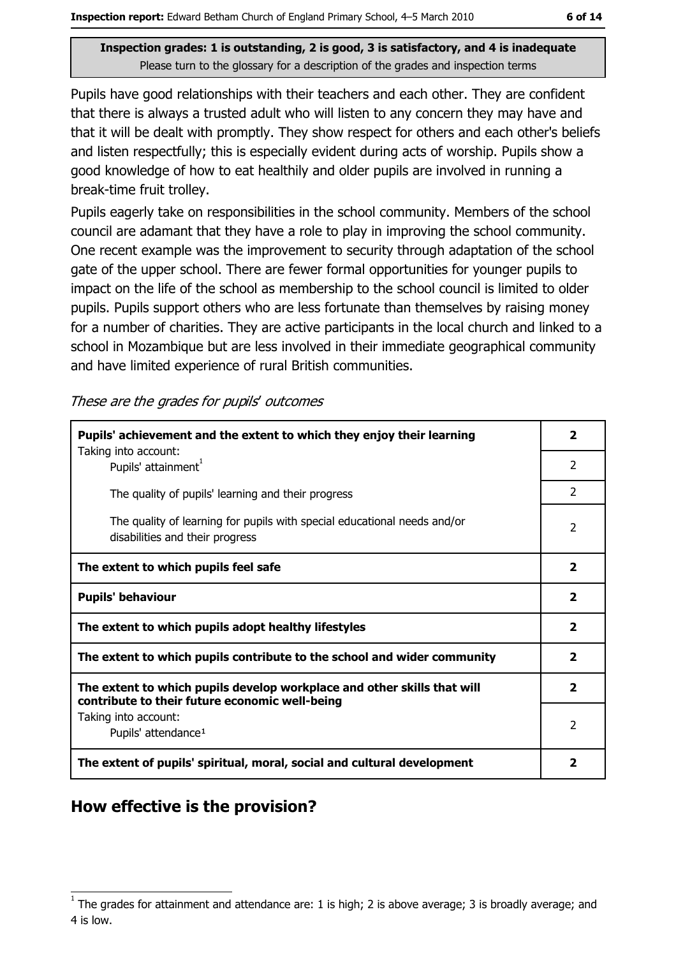Pupils have good relationships with their teachers and each other. They are confident that there is always a trusted adult who will listen to any concern they may have and that it will be dealt with promptly. They show respect for others and each other's beliefs and listen respectfully; this is especially evident during acts of worship. Pupils show a good knowledge of how to eat healthily and older pupils are involved in running a break-time fruit trolley.

Pupils eagerly take on responsibilities in the school community. Members of the school council are adamant that they have a role to play in improving the school community. One recent example was the improvement to security through adaptation of the school gate of the upper school. There are fewer formal opportunities for younger pupils to impact on the life of the school as membership to the school council is limited to older pupils. Pupils support others who are less fortunate than themselves by raising money for a number of charities. They are active participants in the local church and linked to a school in Mozambique but are less involved in their immediate geographical community and have limited experience of rural British communities.

These are the grades for pupils' outcomes

| Pupils' achievement and the extent to which they enjoy their learning                                                     |                         |
|---------------------------------------------------------------------------------------------------------------------------|-------------------------|
| Taking into account:<br>Pupils' attainment <sup>1</sup>                                                                   | 2                       |
| The quality of pupils' learning and their progress                                                                        | $\mathcal{P}$           |
| The quality of learning for pupils with special educational needs and/or<br>disabilities and their progress               | $\overline{2}$          |
| The extent to which pupils feel safe                                                                                      | 2                       |
| <b>Pupils' behaviour</b>                                                                                                  | $\overline{\mathbf{2}}$ |
| The extent to which pupils adopt healthy lifestyles                                                                       | $\overline{\mathbf{2}}$ |
| The extent to which pupils contribute to the school and wider community                                                   | $\overline{\mathbf{2}}$ |
| The extent to which pupils develop workplace and other skills that will<br>contribute to their future economic well-being | $\overline{\mathbf{2}}$ |
| Taking into account:<br>Pupils' attendance <sup>1</sup>                                                                   | $\mathcal{P}$           |
| The extent of pupils' spiritual, moral, social and cultural development                                                   | 2                       |

### How effective is the provision?

The grades for attainment and attendance are: 1 is high; 2 is above average; 3 is broadly average; and 4 is low.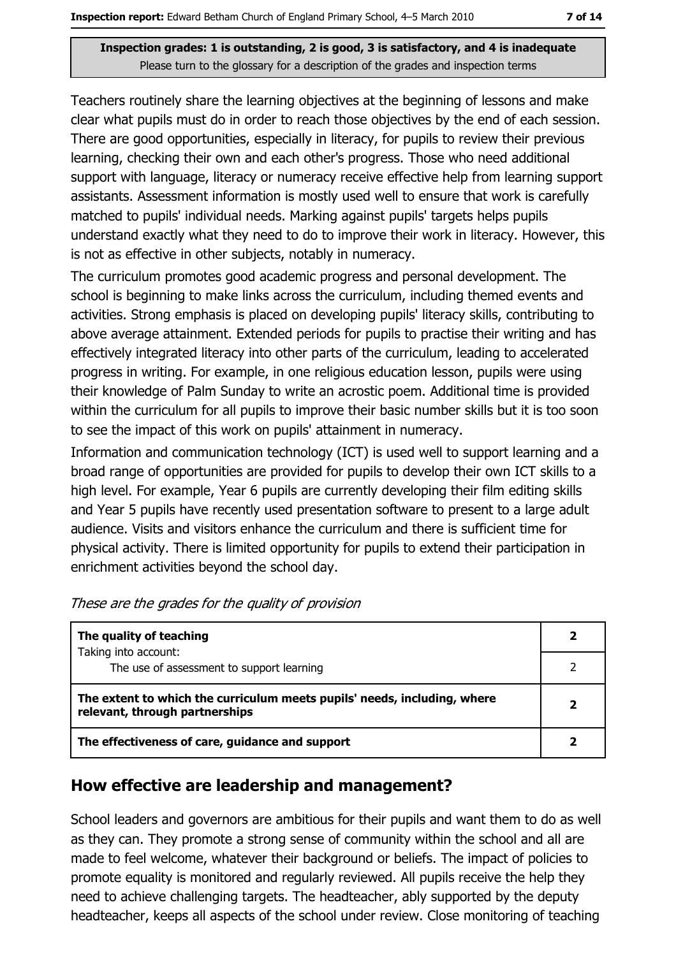Teachers routinely share the learning objectives at the beginning of lessons and make clear what pupils must do in order to reach those objectives by the end of each session. There are good opportunities, especially in literacy, for pupils to review their previous learning, checking their own and each other's progress. Those who need additional support with language, literacy or numeracy receive effective help from learning support assistants. Assessment information is mostly used well to ensure that work is carefully matched to pupils' individual needs. Marking against pupils' targets helps pupils understand exactly what they need to do to improve their work in literacy. However, this is not as effective in other subjects, notably in numeracy.

The curriculum promotes good academic progress and personal development. The school is beginning to make links across the curriculum, including themed events and activities. Strong emphasis is placed on developing pupils' literacy skills, contributing to above average attainment. Extended periods for pupils to practise their writing and has effectively integrated literacy into other parts of the curriculum, leading to accelerated progress in writing. For example, in one religious education lesson, pupils were using their knowledge of Palm Sunday to write an acrostic poem. Additional time is provided within the curriculum for all pupils to improve their basic number skills but it is too soon to see the impact of this work on pupils' attainment in numeracy.

Information and communication technology (ICT) is used well to support learning and a broad range of opportunities are provided for pupils to develop their own ICT skills to a high level. For example, Year 6 pupils are currently developing their film editing skills and Year 5 pupils have recently used presentation software to present to a large adult audience. Visits and visitors enhance the curriculum and there is sufficient time for physical activity. There is limited opportunity for pupils to extend their participation in enrichment activities beyond the school day.

| The quality of teaching                                                                                    |  |
|------------------------------------------------------------------------------------------------------------|--|
| Taking into account:<br>The use of assessment to support learning                                          |  |
| The extent to which the curriculum meets pupils' needs, including, where<br>relevant, through partnerships |  |
| The effectiveness of care, guidance and support                                                            |  |

These are the grades for the quality of provision

### How effective are leadership and management?

School leaders and governors are ambitious for their pupils and want them to do as well as they can. They promote a strong sense of community within the school and all are made to feel welcome, whatever their background or beliefs. The impact of policies to promote equality is monitored and regularly reviewed. All pupils receive the help they need to achieve challenging targets. The headteacher, ably supported by the deputy headteacher, keeps all aspects of the school under review. Close monitoring of teaching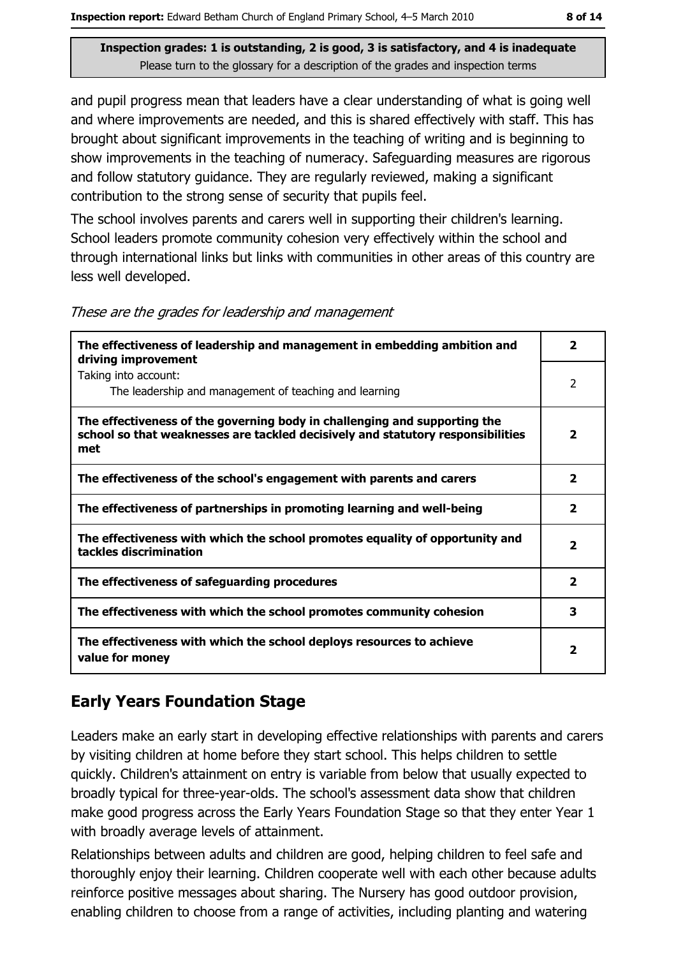and pupil progress mean that leaders have a clear understanding of what is going well and where improvements are needed, and this is shared effectively with staff. This has brought about significant improvements in the teaching of writing and is beginning to show improvements in the teaching of numeracy. Safeguarding measures are rigorous and follow statutory guidance. They are regularly reviewed, making a significant contribution to the strong sense of security that pupils feel.

The school involves parents and carers well in supporting their children's learning. School leaders promote community cohesion very effectively within the school and through international links but links with communities in other areas of this country are less well developed.

| The effectiveness of leadership and management in embedding ambition and<br>driving improvement                                                                     | $\overline{\mathbf{2}}$ |
|---------------------------------------------------------------------------------------------------------------------------------------------------------------------|-------------------------|
| Taking into account:<br>The leadership and management of teaching and learning                                                                                      | $\overline{2}$          |
| The effectiveness of the governing body in challenging and supporting the<br>school so that weaknesses are tackled decisively and statutory responsibilities<br>met | 2                       |
| The effectiveness of the school's engagement with parents and carers                                                                                                | 2                       |
| The effectiveness of partnerships in promoting learning and well-being                                                                                              | $\overline{\mathbf{2}}$ |
| The effectiveness with which the school promotes equality of opportunity and<br>tackles discrimination                                                              | $\overline{\mathbf{2}}$ |
| The effectiveness of safeguarding procedures                                                                                                                        | $\overline{\mathbf{2}}$ |
| The effectiveness with which the school promotes community cohesion                                                                                                 | 3                       |
| The effectiveness with which the school deploys resources to achieve<br>value for money                                                                             | 2                       |

These are the grades for leadership and management

# **Early Years Foundation Stage**

Leaders make an early start in developing effective relationships with parents and carers by visiting children at home before they start school. This helps children to settle quickly. Children's attainment on entry is variable from below that usually expected to broadly typical for three-year-olds. The school's assessment data show that children make good progress across the Early Years Foundation Stage so that they enter Year 1 with broadly average levels of attainment.

Relationships between adults and children are good, helping children to feel safe and thoroughly enjoy their learning. Children cooperate well with each other because adults reinforce positive messages about sharing. The Nursery has good outdoor provision, enabling children to choose from a range of activities, including planting and watering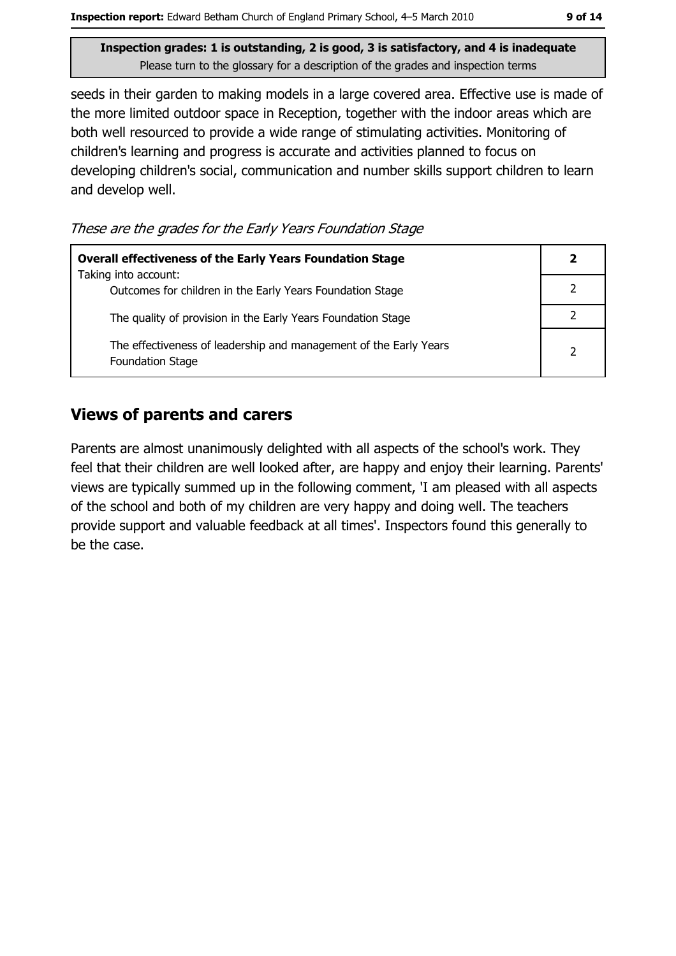seeds in their garden to making models in a large covered area. Effective use is made of the more limited outdoor space in Reception, together with the indoor areas which are both well resourced to provide a wide range of stimulating activities. Monitoring of children's learning and progress is accurate and activities planned to focus on developing children's social, communication and number skills support children to learn and develop well.

These are the grades for the Early Years Foundation Stage

| <b>Overall effectiveness of the Early Years Foundation Stage</b>                             |  |
|----------------------------------------------------------------------------------------------|--|
| Taking into account:<br>Outcomes for children in the Early Years Foundation Stage            |  |
| The quality of provision in the Early Years Foundation Stage                                 |  |
| The effectiveness of leadership and management of the Early Years<br><b>Foundation Stage</b> |  |

## **Views of parents and carers**

Parents are almost unanimously delighted with all aspects of the school's work. They feel that their children are well looked after, are happy and enjoy their learning. Parents' views are typically summed up in the following comment, 'I am pleased with all aspects of the school and both of my children are very happy and doing well. The teachers provide support and valuable feedback at all times'. Inspectors found this generally to be the case.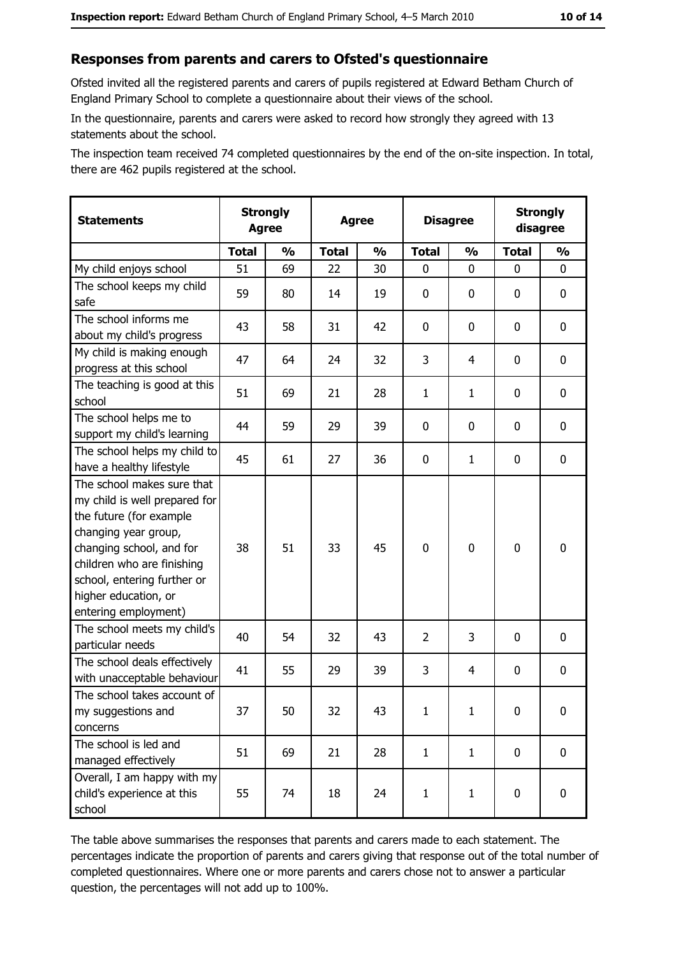#### Responses from parents and carers to Ofsted's questionnaire

Ofsted invited all the registered parents and carers of pupils registered at Edward Betham Church of England Primary School to complete a questionnaire about their views of the school.

In the questionnaire, parents and carers were asked to record how strongly they agreed with 13 statements about the school.

The inspection team received 74 completed questionnaires by the end of the on-site inspection. In total, there are 462 pupils registered at the school.

| <b>Statements</b>                                                                                                                                                                                                                                       | <b>Strongly</b><br><b>Agree</b> |               | <b>Agree</b> |               | <b>Disagree</b> |               | <b>Strongly</b><br>disagree |               |
|---------------------------------------------------------------------------------------------------------------------------------------------------------------------------------------------------------------------------------------------------------|---------------------------------|---------------|--------------|---------------|-----------------|---------------|-----------------------------|---------------|
|                                                                                                                                                                                                                                                         | <b>Total</b>                    | $\frac{1}{2}$ | <b>Total</b> | $\frac{0}{0}$ | <b>Total</b>    | $\frac{1}{2}$ | <b>Total</b>                | $\frac{1}{2}$ |
| My child enjoys school                                                                                                                                                                                                                                  | 51                              | 69            | 22           | 30            | 0               | 0             | $\Omega$                    | 0             |
| The school keeps my child<br>safe                                                                                                                                                                                                                       | 59                              | 80            | 14           | 19            | $\mathbf 0$     | 0             | $\mathbf{0}$                | 0             |
| The school informs me<br>about my child's progress                                                                                                                                                                                                      | 43                              | 58            | 31           | 42            | $\mathbf 0$     | 0             | 0                           | 0             |
| My child is making enough<br>progress at this school                                                                                                                                                                                                    | 47                              | 64            | 24           | 32            | 3               | 4             | 0                           | 0             |
| The teaching is good at this<br>school                                                                                                                                                                                                                  | 51                              | 69            | 21           | 28            | $\mathbf{1}$    | $\mathbf{1}$  | 0                           | 0             |
| The school helps me to<br>support my child's learning                                                                                                                                                                                                   | 44                              | 59            | 29           | 39            | $\mathbf 0$     | 0             | 0                           | 0             |
| The school helps my child to<br>have a healthy lifestyle                                                                                                                                                                                                | 45                              | 61            | 27           | 36            | $\mathbf 0$     | $\mathbf{1}$  | 0                           | 0             |
| The school makes sure that<br>my child is well prepared for<br>the future (for example<br>changing year group,<br>changing school, and for<br>children who are finishing<br>school, entering further or<br>higher education, or<br>entering employment) | 38                              | 51            | 33           | 45            | $\mathbf 0$     | 0             | 0                           | 0             |
| The school meets my child's<br>particular needs                                                                                                                                                                                                         | 40                              | 54            | 32           | 43            | $\overline{2}$  | 3             | 0                           | 0             |
| The school deals effectively<br>with unacceptable behaviour                                                                                                                                                                                             | 41                              | 55            | 29           | 39            | 3               | 4             | 0                           | 0             |
| The school takes account of<br>my suggestions and<br>concerns                                                                                                                                                                                           | 37                              | 50            | 32           | 43            | $\mathbf{1}$    | $\mathbf{1}$  | 0                           | 0             |
| The school is led and<br>managed effectively                                                                                                                                                                                                            | 51                              | 69            | 21           | 28            | $\mathbf{1}$    | $\mathbf{1}$  | 0                           | $\mathbf 0$   |
| Overall, I am happy with my<br>child's experience at this<br>school                                                                                                                                                                                     | 55                              | 74            | 18           | 24            | $\mathbf{1}$    | $\mathbf{1}$  | $\mathbf 0$                 | 0             |

The table above summarises the responses that parents and carers made to each statement. The percentages indicate the proportion of parents and carers giving that response out of the total number of completed questionnaires. Where one or more parents and carers chose not to answer a particular question, the percentages will not add up to 100%.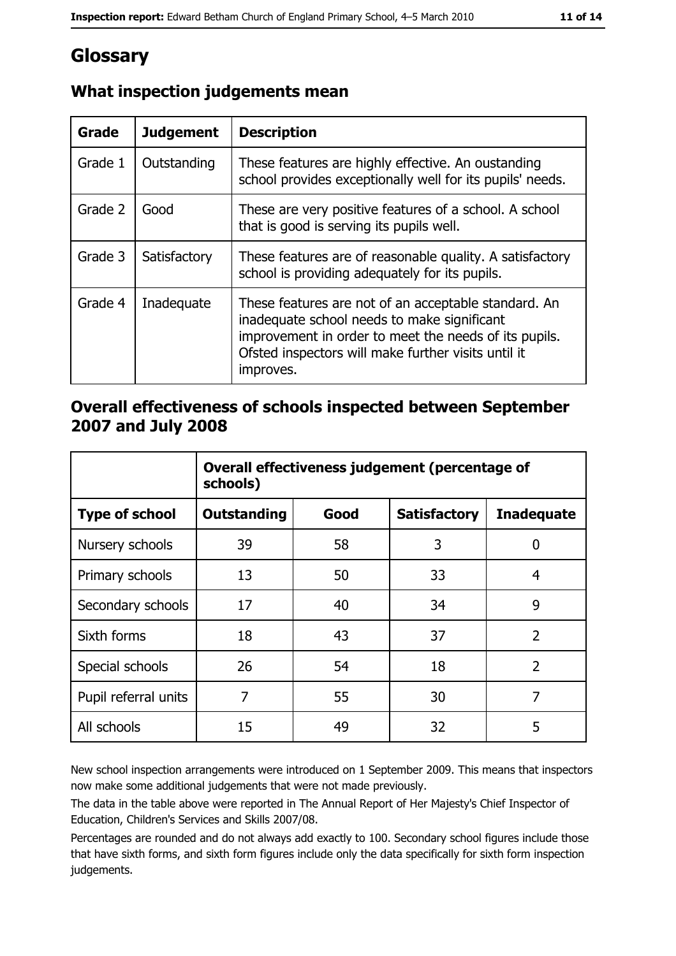# Glossary

| Grade   | <b>Judgement</b> | <b>Description</b>                                                                                                                                                                                                               |
|---------|------------------|----------------------------------------------------------------------------------------------------------------------------------------------------------------------------------------------------------------------------------|
| Grade 1 | Outstanding      | These features are highly effective. An oustanding<br>school provides exceptionally well for its pupils' needs.                                                                                                                  |
| Grade 2 | Good             | These are very positive features of a school. A school<br>that is good is serving its pupils well.                                                                                                                               |
| Grade 3 | Satisfactory     | These features are of reasonable quality. A satisfactory<br>school is providing adequately for its pupils.                                                                                                                       |
| Grade 4 | Inadequate       | These features are not of an acceptable standard. An<br>inadequate school needs to make significant<br>improvement in order to meet the needs of its pupils.<br>Ofsted inspectors will make further visits until it<br>improves. |

# What inspection judgements mean

### Overall effectiveness of schools inspected between September 2007 and July 2008

|                       | Overall effectiveness judgement (percentage of<br>schools) |      |                     |                   |
|-----------------------|------------------------------------------------------------|------|---------------------|-------------------|
| <b>Type of school</b> | <b>Outstanding</b>                                         | Good | <b>Satisfactory</b> | <b>Inadequate</b> |
| Nursery schools       | 39                                                         | 58   | 3                   | 0                 |
| Primary schools       | 13                                                         | 50   | 33                  | 4                 |
| Secondary schools     | 17                                                         | 40   | 34                  | 9                 |
| Sixth forms           | 18                                                         | 43   | 37                  | $\overline{2}$    |
| Special schools       | 26                                                         | 54   | 18                  | $\overline{2}$    |
| Pupil referral units  | 7                                                          | 55   | 30                  | 7                 |
| All schools           | 15                                                         | 49   | 32                  | 5                 |

New school inspection arrangements were introduced on 1 September 2009. This means that inspectors now make some additional judgements that were not made previously.

The data in the table above were reported in The Annual Report of Her Majesty's Chief Inspector of Education, Children's Services and Skills 2007/08.

Percentages are rounded and do not always add exactly to 100. Secondary school figures include those that have sixth forms, and sixth form figures include only the data specifically for sixth form inspection judgements.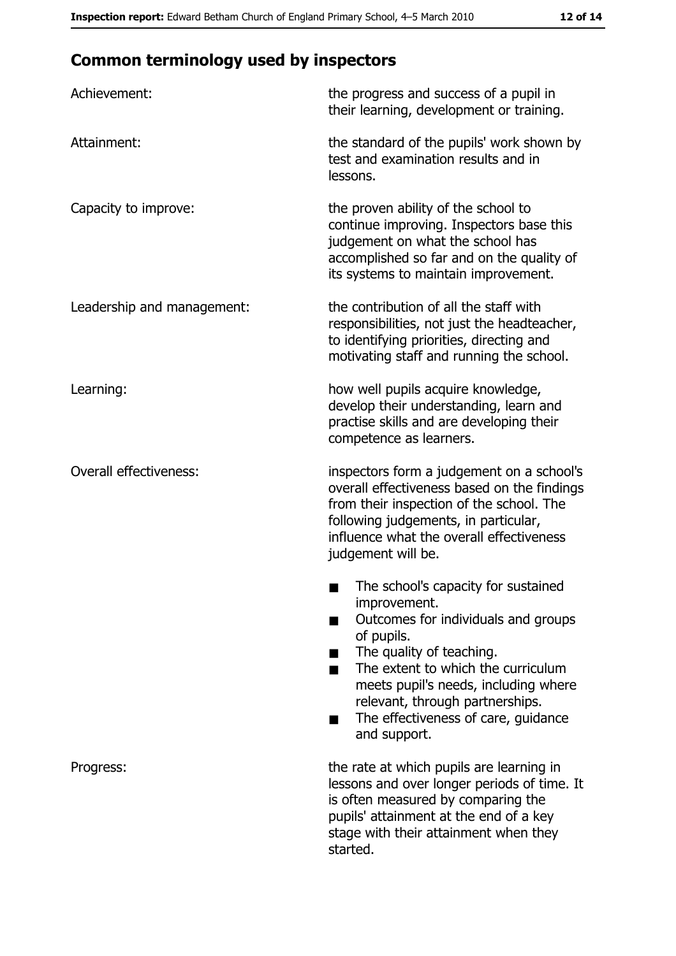# **Common terminology used by inspectors**

| Achievement:                  | the progress and success of a pupil in<br>their learning, development or training.                                                                                                                                                                                                                           |
|-------------------------------|--------------------------------------------------------------------------------------------------------------------------------------------------------------------------------------------------------------------------------------------------------------------------------------------------------------|
| Attainment:                   | the standard of the pupils' work shown by<br>test and examination results and in<br>lessons.                                                                                                                                                                                                                 |
| Capacity to improve:          | the proven ability of the school to<br>continue improving. Inspectors base this<br>judgement on what the school has<br>accomplished so far and on the quality of<br>its systems to maintain improvement.                                                                                                     |
| Leadership and management:    | the contribution of all the staff with<br>responsibilities, not just the headteacher,<br>to identifying priorities, directing and<br>motivating staff and running the school.                                                                                                                                |
| Learning:                     | how well pupils acquire knowledge,<br>develop their understanding, learn and<br>practise skills and are developing their<br>competence as learners.                                                                                                                                                          |
| <b>Overall effectiveness:</b> | inspectors form a judgement on a school's<br>overall effectiveness based on the findings<br>from their inspection of the school. The<br>following judgements, in particular,<br>influence what the overall effectiveness<br>judgement will be.                                                               |
|                               | The school's capacity for sustained<br>improvement.<br>Outcomes for individuals and groups<br>of pupils.<br>The quality of teaching.<br>The extent to which the curriculum<br>meets pupil's needs, including where<br>relevant, through partnerships.<br>The effectiveness of care, guidance<br>and support. |
| Progress:                     | the rate at which pupils are learning in<br>lessons and over longer periods of time. It<br>is often measured by comparing the<br>pupils' attainment at the end of a key<br>stage with their attainment when they<br>started.                                                                                 |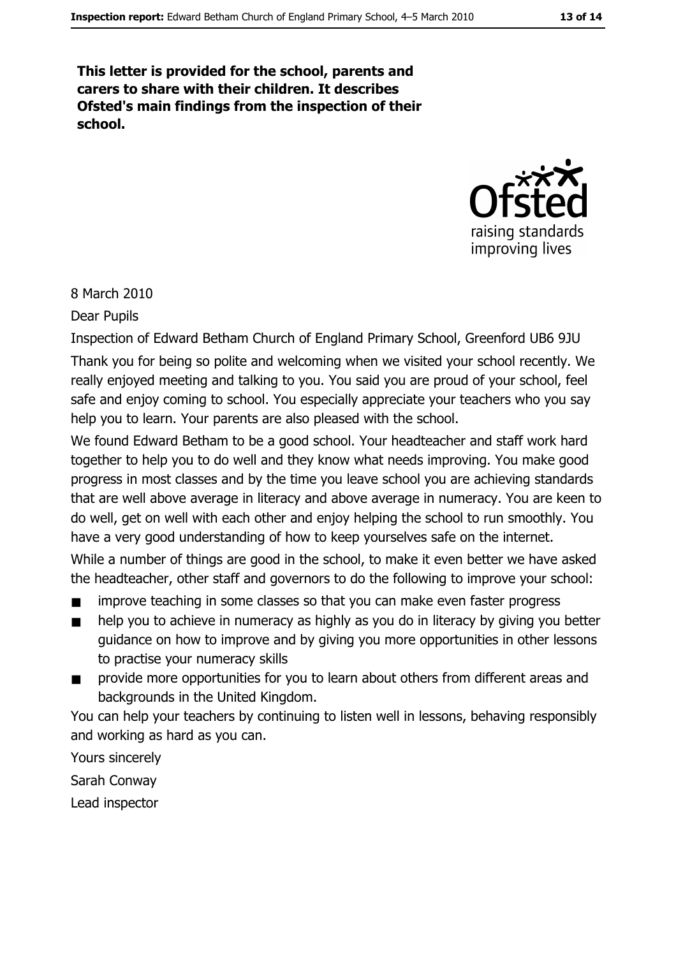This letter is provided for the school, parents and carers to share with their children. It describes Ofsted's main findings from the inspection of their school.



8 March 2010

Dear Pupils

Inspection of Edward Betham Church of England Primary School, Greenford UB6 9JU Thank you for being so polite and welcoming when we visited your school recently. We really enjoyed meeting and talking to you. You said you are proud of your school, feel safe and enjoy coming to school. You especially appreciate your teachers who you say help you to learn. Your parents are also pleased with the school.

We found Edward Betham to be a good school. Your headteacher and staff work hard together to help you to do well and they know what needs improving. You make good progress in most classes and by the time you leave school you are achieving standards that are well above average in literacy and above average in numeracy. You are keen to do well, get on well with each other and enjoy helping the school to run smoothly. You have a very good understanding of how to keep yourselves safe on the internet.

While a number of things are good in the school, to make it even better we have asked the headteacher, other staff and governors to do the following to improve your school:

- improve teaching in some classes so that you can make even faster progress
- help you to achieve in numeracy as highly as you do in literacy by giving you better  $\blacksquare$ quidance on how to improve and by giving you more opportunities in other lessons to practise your numeracy skills
- provide more opportunities for you to learn about others from different areas and backgrounds in the United Kingdom.

You can help your teachers by continuing to listen well in lessons, behaving responsibly and working as hard as you can.

Yours sincerely Sarah Conway

Lead inspector